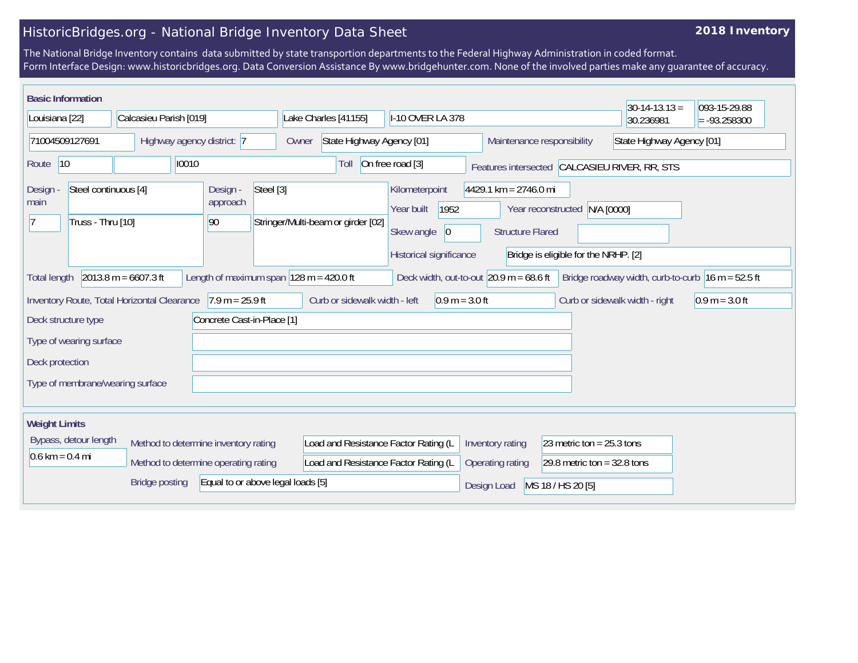## HistoricBridges.org - National Bridge Inventory Data Sheet

## **2018 Inventory**

The National Bridge Inventory contains data submitted by state transportion departments to the Federal Highway Administration in coded format. Form Interface Design: www.historicbridges.org. Data Conversion Assistance By www.bridgehunter.com. None of the involved parties make any guarantee of accuracy.

| <b>Basic Information</b>                                           |                                             |                                         |                                                             |                                                          |                                                    |                                      | $30-14-13.13 =$                                     | 093-15-29.88     |
|--------------------------------------------------------------------|---------------------------------------------|-----------------------------------------|-------------------------------------------------------------|----------------------------------------------------------|----------------------------------------------------|--------------------------------------|-----------------------------------------------------|------------------|
| Louisiana [22]                                                     | Calcasieu Parish [019]                      |                                         | Lake Charles [41155]                                        | I-10 OVER LA 378                                         |                                                    |                                      | 30.236981                                           | $= -93.258300$   |
| 71004509127691                                                     | Highway agency district: 7                  |                                         | State Highway Agency [01]<br>Owner                          |                                                          | Maintenance responsibility                         |                                      | State Highway Agency [01]                           |                  |
| 10<br>Route                                                        | 10010                                       |                                         | Toll                                                        | On free road [3]                                         |                                                    |                                      | Features intersected CALCASIEU RIVER, RR, STS       |                  |
| Steel continuous [4]<br><b>Design</b><br>main<br>Truss - Thru [10] |                                             | Steel [3]<br>Design -<br>approach<br>90 | Stringer/Multi-beam or girder [02]                          | Kilometerpoint<br>1952<br>Year built<br>Skew angle<br> 0 | $4429.1$ km = 2746.0 mi<br><b>Structure Flared</b> | Year reconstructed N/A [0000]        |                                                     |                  |
|                                                                    |                                             |                                         |                                                             | Historical significance                                  |                                                    | Bridge is eligible for the NRHP. [2] |                                                     |                  |
| <b>Total length</b>                                                | $2013.8 m = 6607.3 ft$                      |                                         | Length of maximum span $ 128 \text{ m} = 420.0 \text{ ft} $ | Deck width, out-to-out $20.9$ m = 68.6 ft                |                                                    |                                      | Bridge roadway width, curb-to-curb $16 m = 52.5 ft$ |                  |
|                                                                    | Inventory Route, Total Horizontal Clearance | $7.9 m = 25.9 ft$                       | Curb or sidewalk width - left                               | $0.9 m = 3.0 ft$                                         |                                                    |                                      | Curb or sidewalk width - right                      | $0.9 m = 3.0 ft$ |
| Deck structure type                                                |                                             | Concrete Cast-in-Place [1]              |                                                             |                                                          |                                                    |                                      |                                                     |                  |
| Type of wearing surface                                            |                                             |                                         |                                                             |                                                          |                                                    |                                      |                                                     |                  |
| Deck protection                                                    |                                             |                                         |                                                             |                                                          |                                                    |                                      |                                                     |                  |
| Type of membrane/wearing surface                                   |                                             |                                         |                                                             |                                                          |                                                    |                                      |                                                     |                  |
| <b>Weight Limits</b>                                               |                                             |                                         |                                                             |                                                          |                                                    |                                      |                                                     |                  |
| Bypass, detour length                                              | Method to determine inventory rating        |                                         | Load and Resistance Factor Rating (L                        |                                                          | Inventory rating                                   | 23 metric ton = $25.3$ tons          |                                                     |                  |
| $0.6 \text{ km} = 0.4 \text{ mi}$                                  | Method to determine operating rating        |                                         | Load and Resistance Factor Rating (L                        |                                                          | Operating rating                                   | 29.8 metric ton = $32.8$ tons        |                                                     |                  |
|                                                                    | <b>Bridge posting</b>                       | Equal to or above legal loads [5]       |                                                             |                                                          | Design Load                                        | MS 18 / HS 20 [5]                    |                                                     |                  |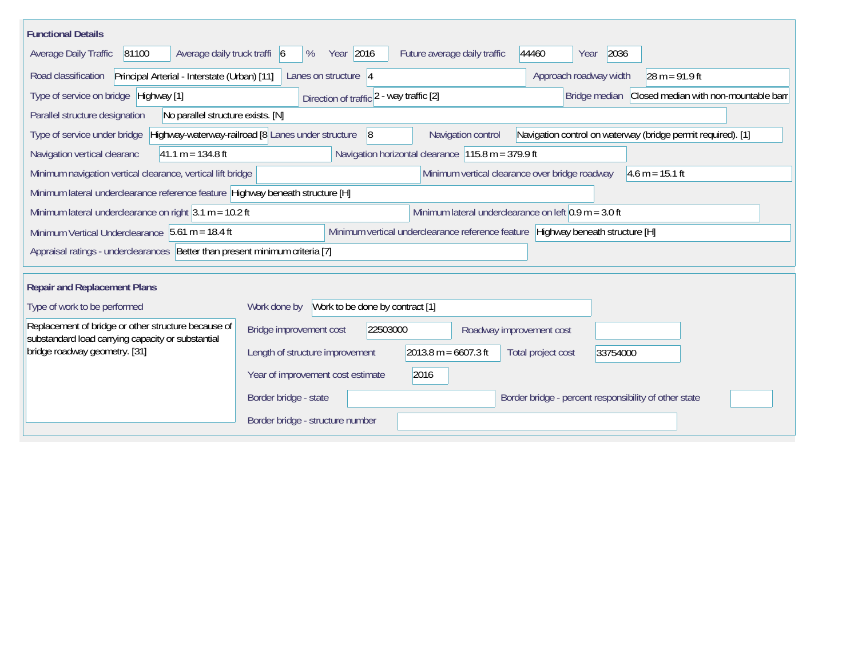| <b>Functional Details</b>                                                                                                                           |                                                          |                                                         |                                                     |                                                              |  |  |  |
|-----------------------------------------------------------------------------------------------------------------------------------------------------|----------------------------------------------------------|---------------------------------------------------------|-----------------------------------------------------|--------------------------------------------------------------|--|--|--|
| 81100<br>Average daily truck traffi 6<br><b>Average Daily Traffic</b>                                                                               | Year 2016<br>%                                           | Future average daily traffic                            | 44460<br>Year                                       | 2036                                                         |  |  |  |
| Road classification<br>Principal Arterial - Interstate (Urban) [11]                                                                                 | Approach roadway width                                   | $ 28 \text{ m} = 91.9 \text{ ft} $                      |                                                     |                                                              |  |  |  |
| Type of service on bridge Highway [1]                                                                                                               | Direction of traffic 2 - way traffic [2]                 |                                                         | Bridge median Closed median with non-mountable barr |                                                              |  |  |  |
| No parallel structure exists. [N]<br>Parallel structure designation                                                                                 |                                                          |                                                         |                                                     |                                                              |  |  |  |
| Type of service under bridge                                                                                                                        | Highway-waterway-railroad [8 Lanes under structure<br> 8 | Navigation control                                      |                                                     | Navigation control on waterway (bridge permit required). [1] |  |  |  |
| Navigation vertical clearanc<br>$41.1 m = 134.8 ft$                                                                                                 |                                                          | Navigation horizontal clearance 115.8 m = 379.9 ft      |                                                     |                                                              |  |  |  |
| Minimum vertical clearance over bridge roadway<br>Minimum navigation vertical clearance, vertical lift bridge<br>$ 4.6 \text{ m} = 15.1 \text{ ft}$ |                                                          |                                                         |                                                     |                                                              |  |  |  |
| Minimum lateral underclearance reference feature Highway beneath structure [H]                                                                      |                                                          |                                                         |                                                     |                                                              |  |  |  |
| Minimum lateral underclearance on right $3.1$ m = 10.2 ft                                                                                           |                                                          | Minimum lateral underclearance on left $0.9$ m = 3.0 ft |                                                     |                                                              |  |  |  |
| Minimum Vertical Underclearance 5.61 m = 18.4 ft<br>Minimum vertical underclearance reference feature Highway beneath structure [H]                 |                                                          |                                                         |                                                     |                                                              |  |  |  |
| Appraisal ratings - underclearances Better than present minimum criteria [7]                                                                        |                                                          |                                                         |                                                     |                                                              |  |  |  |
| <b>Repair and Replacement Plans</b>                                                                                                                 |                                                          |                                                         |                                                     |                                                              |  |  |  |
| Type of work to be performed                                                                                                                        | Work to be done by contract [1]<br>Work done by          |                                                         |                                                     |                                                              |  |  |  |
| Replacement of bridge or other structure because of<br>substandard load carrying capacity or substantial                                            | 22503000<br>Bridge improvement cost                      |                                                         | Roadway improvement cost                            |                                                              |  |  |  |
| bridge roadway geometry. [31]                                                                                                                       | Length of structure improvement                          | $2013.8 m = 6607.3 ft$                                  | Total project cost                                  | 33754000                                                     |  |  |  |
|                                                                                                                                                     | Year of improvement cost estimate                        | 2016                                                    |                                                     |                                                              |  |  |  |
|                                                                                                                                                     | Border bridge - state                                    |                                                         |                                                     | Border bridge - percent responsibility of other state        |  |  |  |
|                                                                                                                                                     | Border bridge - structure number                         |                                                         |                                                     |                                                              |  |  |  |